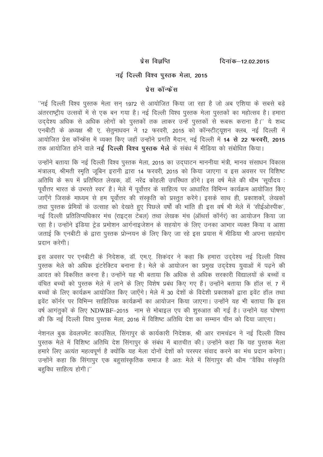प्रेस विज्ञप्ति

दिनांक–12.02.2015

## नई दिल्ली विश्व पुस्तक मेला, 2015

## प्रेस कॉन्फ्रेंस

"नई दिल्ली विश्व पुस्तक मेला सन् 1972 से आयोजित किया जा रहा है जो अब एशिया के सबसे बड़े अंतरराष्ट्रीय उत्सवों में से एक बन गया है। नई दिल्ली विश्व पुस्तक मेला पुस्तकों का महोत्सव है। हमारा उददेश्य अधिक से अधिक लोगों को पुस्तकों तक लाकर उन्हें पुस्तकों से रूबरू कराना है।'' ये शब्द एनबीटी के अध्यक्ष श्री ए. सेतुमाधवन ने 12 फरवरी, 2015 को कॉन्स्टीटयुशन क्लब, नई दिल्ली में आयोजित प्रेस कॉन्फ्रेंस में व्यक्त किए जहाँ उन्होंने प्रगति मैदान, नई दिल्ली में 14 **से 22 फरवरी, 2015** तक आयोजित होने वाले **नई दिल्ली विश्व पुस्तक मेले** के संबंध में मीडिया को संबोधित किया।

उन्होंने बताया कि नई दिल्ली विश्व पुस्तक मेला, 2015 का उदघाटन माननीया मंत्री, मानव संसाधन विकास मंत्रालय, श्रीमती स्मृति जुबिन इरानी द्वारा 14 फरवरी, 2015 को किया जाएगा व इस अवसर पर विशिष्ट अतिथि के रूप में प्रतिष्ठित लेखक, डॉ. नरेंद्र कोहली उपस्थित होंगे। इस वर्ष मेले की थीम 'सूर्योदय : पूर्वोत्तर भारत के उभरते स्वर' है। मेले में पूर्वोत्तर के साहित्य पर आधारित विभिन्न कार्यक्रम आयोजित किए जाएँगे जिसके माध्यम से हम पूर्वोत्तर की संस्कृति को प्रस्तुत करेंगे। इसके साथ ही, प्रकाशकों, लेखकों तथा पस्तक प्रेमियों के उत्साह को देखते हुए पिछले वर्षों की भांति ही इस वर्ष भी मेले में 'सीईओस्पीक'. नई दिल्ली प्रतिलिप्यधिकार मंच (राइटस टेबल) तथा लेखक मंच (ऑथर्स कॉर्नर) का आयोजन किया जा रहा है। उन्होंने इंडिया ट्रेड प्रमोशन आर्गनाइजेशन के सहयोग के लिए उनका आभार व्यक्त किया व आशा जताई कि एनबीटी के द्वारा पुस्तक प्रोन्नयन के लिए किए जा रहे इस प्रयास में मीडिया भी अपना सहयोग पटान करेगी।

इस अवसर पर एनबीटी के निदेशक, डॉ. एम.ए. सिकंदर ने कहा कि हमारा उद्देश्य नई दिल्ली विश्व पुस्तक मेले को अधिक इंटरेक्टिव बनाना है। मेले के आयोजन का प्रमुख उददेश्य युवाओं में पढने की आदत को विकसित करना है। उन्होंने यह भी बताया कि अधिक से अधिक सरकारी विद्यालयों के बच्चों व वंचित बच्चों को पुस्तक मेले में लाने के लिए विशेष प्रबंध किए गए हैं। उन्होंने बताया कि हॉल सं. 7 में बच्चों के लिए कार्यक्रम आयोजित किए जाएँगे। मेले में 30 देशों के विदेशी प्रकाशकों द्वारा इवेंट हॉल तथा इवेंट कॉर्नर पर विभिन्न साहित्यिक कार्यक्रमों का आयोजन किया जाएगा। उन्होंने यह भी बताया कि इस वर्ष आगंतकों के लिए NDWBF-2015 नाम से मोबाइल एप की शुरुआत की गई है। उन्होंने यह घोषणा की कि नई दिल्ली विश्व पस्तक मेला. 2016 में विशिष्ट अतिथि देश का सम्मान चीन को दिया जाएगा।

नेशनल बुक डेवलपमेंट काउंसिल, सिंगापुर के कार्यकारी निदेशक, श्री आर रामचंद्रन ने नई दिल्ली विश्व पुस्तक मेले में विशिष्ट अतिथि देश सिंगापुर के संबंध में बातचीत की। उन्होंने कहा कि यह पुस्तक मेला हमारे लिए अत्यंत महत्वपूर्ण है क्योंकि यह मेला दोनों देशों को परस्पर संवाद करने का मंच प्रदान करेगा। उन्होंने कहा कि सिंगापुर एक बहुसांस्कृतिक समाज है अतः मेले में सिंगापुर की थीम ''वैविध संस्कृति बहविध साहित्य होगी।"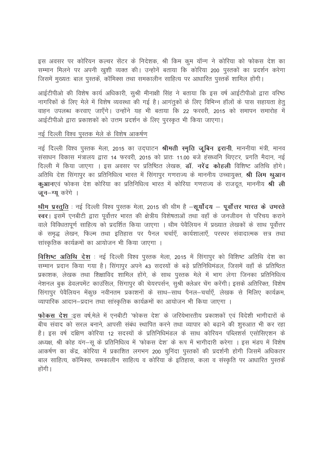इस अवसर पर कोरियन कल्चर सेंटर के निदेशक, श्री किम कुम यॉन्ग ने कोरिया को फोकस देश का सम्मान मिलने पर अपनी खुशी व्यक्त की। उन्होनें बताया कि कोरिया 200 पुस्तकों का प्रदर्शन करेगा जिसमें मुख्यतः बाल पुस्तकें, कॉमिक्स तथा समकालीन साहित्य पर आधारित पुस्तकें शामिल होंगी।

आईटीपीओ की विशेष कार्य अधिकारी, सूश्री मीनाक्षी सिंह ने बताया कि इस वर्ष आईटीपीओ द्वारा वरिष्ठ नागरिकों के लिए मेले में विशेष व्यवस्था की गई है। आगंतकों के लिए विभिन्न हॉलों के पास सहायता हेत वाहन उपलब्ध करवाए जाएँगे। उन्होंने यह भी बताया कि 22 फरवरी. 2015 को समापन समारोह में आईटीपीओ द्वारा प्रकाशकों को उत्तम प्रदर्शन के लिए परस्कत भी किया जाएगा।

## नई दिल्ली विश्व पुस्तक मेले के विशेष आकर्षण

नई दिल्ली विश्व पुस्तक मेला, 2015 का उदघाटन श्रीमती स्मृति जूबिन इरानी, माननीया मंत्री, मानव संसाधन विकास मंत्रालय द्वारा 14 फरवरी, 2015 को प्रातः 11.00 बजे हंसध्वनि थिएटर, प्रगति मैदान, नई दिल्ली में किया जाएगा । इस अवसर पर प्रतिष्ठित लेखक, **डॉ. नरेंद्र कोहली** विशिष्ट अतिथि होंगे। अतिथि देश सिंगापुर का प्रतिनिधित्व भारत में सिंगापुर गणराज्य के माननीय उच्चायुक्त, **श्री लिम थुआन** कुआनएवं फोकस देश कोरिया का प्रतिनिधित्व भारत में कोरिया गणराज्य के राजदत, माननीय श्री ली जुन-ग्यु करेंगे ।

थीम प्रस्तुति : नई दिल्ली विश्व पुस्तक मेला, 2015 की थीम है -सुर्योदय - पूर्वोत्तर भारत के उभरते स्वर। इसमें एनबीटी द्वारा पूर्वोत्तर भारत की क्षेत्रीय विशेषताओं तथा वहाँ के जनजीवन से परिचय कराने वाले विविधतापूर्ण साहित्य को प्रदर्शित किया जाएगा । थीम पेवैलियन में प्रख्यात लेखकों के साथ पूर्वोत्तर के समृद्ध लेखन, फिल्म तथा इतिहास पर पैनल चर्चाएँ, कार्यशालाएँ, परस्पर संवादात्मक सत्र तथा सांस्कृतिक कार्यक्रमों का आयोजन भी किया जाएगा ।

विशिष्ट अतिथि देश : नई दिल्ली विश्व पुस्तक मेला, 2015 में सिंगापुर को विशिष्ट अतिथि देश का सम्मान प्रदान किया गया है। सिंगापुर अपने 43 सदस्यों के बड़े प्रतिनिधिमंडल, जिसमें वहाँ के प्रतिष्ठित प्रकाशक, लेखक तथा शिक्षाविद शामिल होंगे, के साथ पुस्तक मेले में भाग लेगा जिनका प्रतिनिधित्व नेशनल बुक डेवलपमेंट काउंसिल, सिंगापुर की चेयरपर्सन, सुश्री क्लेअर चेंग करेंगी। इसके अतिरिक्त, विशेष सिंगापुर पेवैलियन मेंकुछ नवीनतम प्रकाशनों के साथ–साथ पैनल–चर्चाएँ, लेखक से मिलिए कार्यक्रम, व्यापारिक आदान-प्रदान तथा सांस्कृतिक कार्यक्रमों का आयोजन भी किया जाएगा ।

फोकस देश :इस वर्ष.मेले में एनबीटी 'फोकस देश' के जरियेभारतीय प्रकाशकों एवं विदेशी भागीदारों के बीच संवाद को सरल बनाने, आपसी संबंध स्थापित करने तथा व्यापार को बढाने की शुरुआत भी कर रहा है। इस वर्ष दक्षिण कोरिया 12 सदस्यों के प्रतिनिधिमंडल के साथ कोरियन पब्लिशर्स एसोसिएशन के अध्यक्ष, श्री कोह यंग-स के प्रतिनिधित्व में 'फोकस देश' के रूप में भागीदारी करेगा । इस मंडप में विशेष आकर्षण का केंद्र, कोरिया में प्रकाशित लगभग 200 चुनिंदा पुस्तकों की प्रदर्शनी होगी जिसमें अधिकतर बाल साहित्य, कॉमिक्स, समकालीन साहित्य व कोरिया के इतिहास, कला व संस्कृति पर आधारित पुस्तकें होंगी।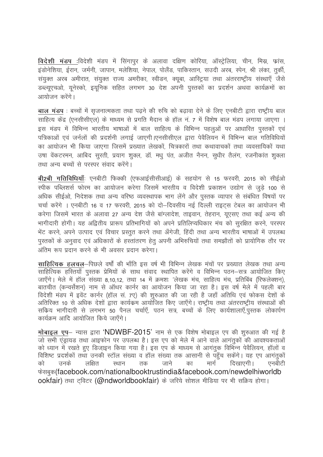विदेशी मंडप :विदेशी मंडप में सिंगापुर के अलावा दक्षिण कोरिया, ऑस्ट्रेलिया, चीन, मिस्र, फ्रांस, इंडोनेशिया, ईरान, जर्मनी, जापान, मलेशिया, नेपाल, पोलैंड, पाकिस्तान, सउदी अरब, स्पेन, श्री लंका, तुर्की, संयुक्त अरब अमीरात, संयुक्त राज्य अमरीका, स्वीडन, क्यूबा, आस्ट्रिया तथा अंतरराष्ट्रीय संस्थाएँ जैसे डब्ल्यएचओ, यनेस्को, इयनिक सहित लगभग 30 देश अपनी पस्तकों का प्रदर्शन अथवा कार्यक्रमों का आयोजन करेंगे।

बाल मंडप : बच्चों में सुजनात्मकता तथा पढने की रुचि को बढावा देने के लिए एनबीटी द्वारा राष्टीय बाल साहित्य केंद्र (एनसीसीएल) के माध्यम से प्रगति मैदान के हॉल नं. 7 में विशेष बाल मंडप लगाया जाएगा । इस मंडप में विभिन्न भारतीय भाषाओं में बाल साहित्य के विभिन्न पहलओं पर आधारित पस्तकों एवं पत्रिकाओं एवं जर्नलों की प्रदर्शनी लगाई जाएगी।एनसीसीएल द्वारा पेवैलियन में विभिन्न बाल गतिविधियों का आयोजन भी किया जाएगा जिसमें प्रख्यात लेखकों, चित्रकारों तथा कथावाचकों तथा व्यवसायिकों यथा उषा वेंकटरमन, आबिद सुरती, प्रयाग शुक्ल, डॉ. मधु पंत, अजीत नैनन, सुधीर तैलंग, रजनीकांत शुक्ला तथा अन्य बच्चों से परस्पर संवाद करेंगे।

बी2बी गतिविधियाँ: एनबीटी फिक्की (एफआईसीसीआई) के सहयोग से 15 फरवरी, 2015 को सीईओ स्पीक पब्लिशर्स फोरम का आयोजन करेगा जिसमें भारतीय व विदेशी प्रकाशन उद्योग से जड़े 100 से अधिक सीईओ, निदेशक तथा अन्य वरिष्ठ व्यवस्थापक भाग लेंगे और पस्तक व्यापार से संबंधित विषयों पर चर्चा करेंगे । एनबीटी 16 व 17 फरवरी 2015 को दो–दिवसीय नई दिल्ली राइटस टेबल का आयोजन भी करेगा जिसमें भारत के अलावा 27 अन्य देश जैसे बांग्लादेश, ताइवान, तेहरान, युएसए तथा कई अन्य की भागीदारी होगी। यह अद्वितीय प्रारूप प्रतिभागियों को अपने प्रतिलिप्यधिकार मंच को सुरक्षित करने, परस्पर भेंट करने, अपने उत्पाद एवं विचार प्रस्तुत करने तथा अँगेजी, हिंदी तथा अन्य भारतीय भाषाओं में उपलब्ध पुस्तकों के अनुवाद एवं अधिकारों के हस्तांतरण हेतु अपनी अभिरुचियों तथा समझौतों को प्रायोगिक तौर पर अंतिम रूप प्रदान करने के भी अवसर प्रदान करेगा।

साहित्यिक हलचल-पिछले वर्षों की भाँति इस वर्ष भी विभिन्न लेखक मंचों पर प्रख्यात लेखक तथा अन्य साहित्यिक हरितयाँ पुस्तक प्रेमियों के साथ संवाद स्थापित करेंगे व विभिन्न पठन–सत्र आयोजित किए जाएँगे। मेले में हॉल संख्या 8,10,12, तथा 14 में क्रमशः 'लेखक मंच, साहित्य मंच, प्रतिबिंब (रिफलेक्शन), बातचीत (कन्वर्सेशन) नाम से ऑथर कार्नर का आयोजन किया जा रहा है। इस वर्ष मेले में पहली बार विदेशी मंडप में इवेंट कार्नर (हॉल सं. 7ए) की शुरुआत की जा रही है जहाँ अतिथि एवं फोकस देशों के अतिरिक्त 10 से अधिक देशों द्वारा कार्यक्रम आयोजित किए जाएँगे। राष्ट्रीय तथा अंतरराष्ट्रीय संस्थाओं की सकिय भागीदारी से लगभग 50 पैनल चर्चाएँ, पठन सत्र, बच्चों के लिए कार्यशालाएँ,पुस्तक लोकार्पण कार्यक्रम आदि आयोजित किये जाएँगे।

मोबाइल एप- न्यास द्वारा 'NDWBF-2015' नाम से एक विशेष मोबाइल एप की शुरुआत की गई है जो सभी एंड्रायड तथा आइफोन पर उपलब्ध है। इस एप को मेले में आने वाले आगंतूकों की आवश्यकताओं को ध्यान में रखते हुए डिजाइन किया गया है। इस एप के माध्यम से आगंतुक विभिन्न पेवैलियन, हॉलों व विशिष्ट प्रदर्शकों तथा उनकी स्टॉल संख्या व हॉल संख्या तक आसानी से पहुँच सकेंगे। यह एप आगंतुकों मार्ग उनके लक्षित तक जाने का दिखाएगी। एनबीटी को स्थान फेसबुक(facebook.com/nationalbooktrustindia&facebook.com/newdelhiworldb ookfair) तथा टविटर (@ndworldbookfair) के जरिये सोशल मीडिया पर भी सक्रिय होगा।